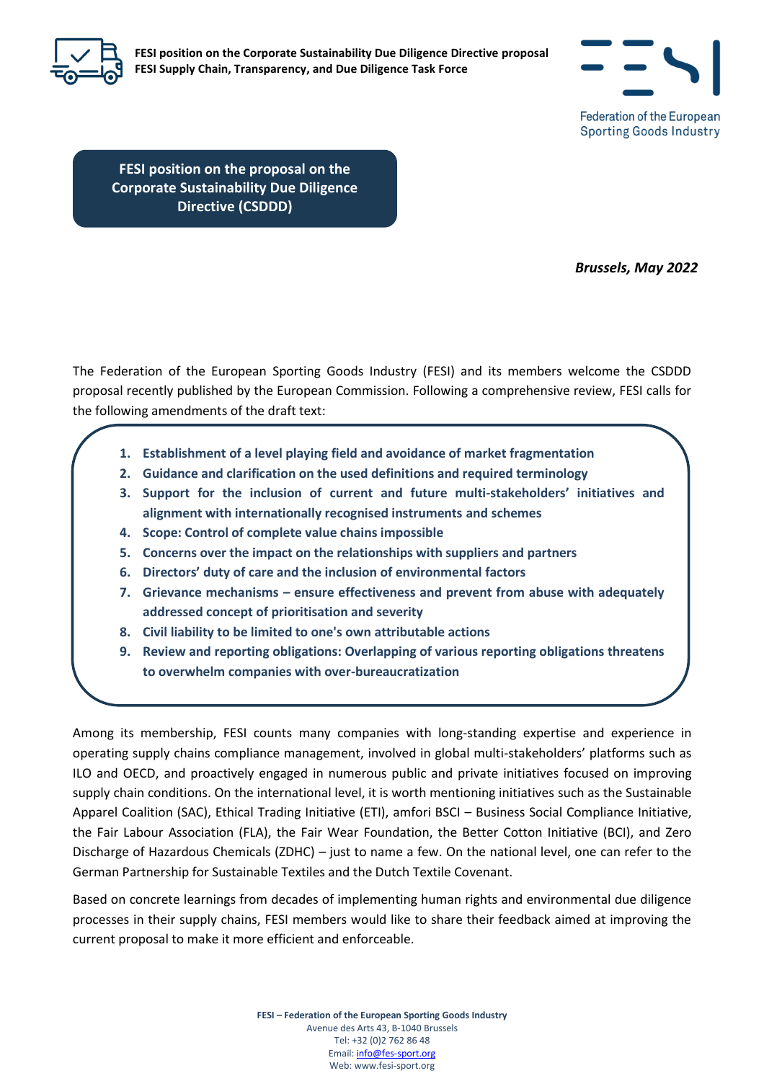

**FESI position on the Corporate Sustainability Due Diligence Directive proposal FESI Supply Chain, Transparency, and Due Diligence Task Force**



**FESI position on the proposal on the Corporate Sustainability Due Diligence Directive (CSDDD)**

**Date**

*Brussels, May 2022*

The Federation of the European Sporting Goods Industry (FESI) and its members welcome the CSDDD proposal recently published by the European Commission. Following a comprehensive review, FESI calls for the following amendments of the draft text:

- **1. Establishment of a level playing field and avoidance of market fragmentation**
- **2. Guidance and clarification on the used definitions and required terminology**
- **3. Support for the inclusion of current and future multi-stakeholders' initiatives and alignment with internationally recognised instruments and schemes**
- **4. Scope: Control of complete value chains impossible**
- **5. Concerns over the impact on the relationships with suppliers and partners**
- **6. Directors' duty of care and the inclusion of environmental factors**
- **7. Grievance mechanisms – ensure effectiveness and prevent from abuse with adequately addressed concept of prioritisation and severity**
- **8. Civil liability to be limited to one's own attributable actions**
- **9. Review and reporting obligations: Overlapping of various reporting obligations threatens to overwhelm companies with over-bureaucratization**

Among its membership, FESI counts many companies with long-standing expertise and experience in operating supply chains compliance management, involved in global multi-stakeholders' platforms such as ILO and OECD, and proactively engaged in numerous public and private initiatives focused on improving supply chain conditions. On the international level, it is worth mentioning initiatives such as the Sustainable Apparel Coalition (SAC), Ethical Trading Initiative (ETI), amfori BSCI – Business Social Compliance Initiative, the Fair Labour Association (FLA), the Fair Wear Foundation, the Better Cotton Initiative (BCI), and Zero Discharge of Hazardous Chemicals (ZDHC) – just to name a few. On the national level, one can refer to the German Partnership for Sustainable Textiles and the Dutch Textile Covenant.

Based on concrete learnings from decades of implementing human rights and environmental due diligence processes in their supply chains, FESI members would like to share their feedback aimed at improving the current proposal to make it more efficient and enforceable.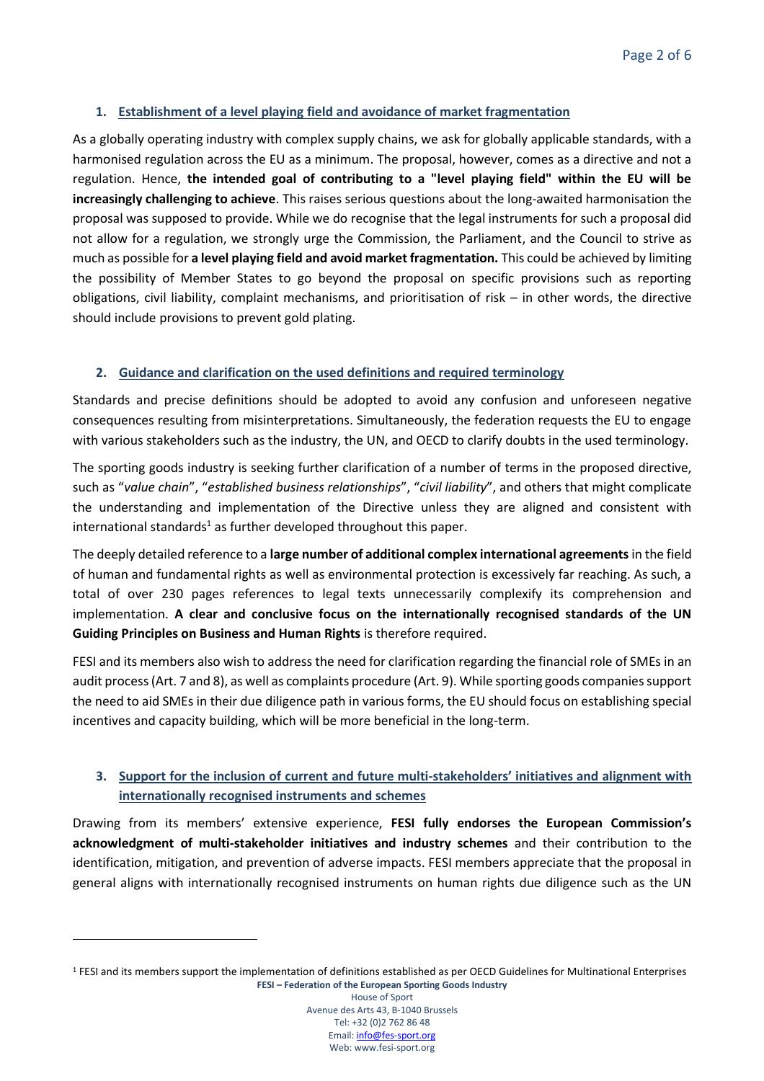### **1. Establishment of a level playing field and avoidance of market fragmentation**

As a globally operating industry with complex supply chains, we ask for globally applicable standards, with a harmonised regulation across the EU as a minimum. The proposal, however, comes as a directive and not a regulation. Hence, **the intended goal of contributing to a "level playing field" within the EU will be increasingly challenging to achieve**. This raises serious questions about the long-awaited harmonisation the proposal was supposed to provide. While we do recognise that the legal instruments for such a proposal did not allow for a regulation, we strongly urge the Commission, the Parliament, and the Council to strive as much as possible for **a level playing field and avoid market fragmentation.** This could be achieved by limiting the possibility of Member States to go beyond the proposal on specific provisions such as reporting obligations, civil liability, complaint mechanisms, and prioritisation of risk – in other words, the directive should include provisions to prevent gold plating.

### **2. Guidance and clarification on the used definitions and required terminology**

Standards and precise definitions should be adopted to avoid any confusion and unforeseen negative consequences resulting from misinterpretations. Simultaneously, the federation requests the EU to engage with various stakeholders such as the industry, the UN, and OECD to clarify doubts in the used terminology.

The sporting goods industry is seeking further clarification of a number of terms in the proposed directive, such as "*value chain*", "*established business relationships*", "*civil liability*", and others that might complicate the understanding and implementation of the Directive unless they are aligned and consistent with international standards<sup>1</sup> as further developed throughout this paper.

The deeply detailed reference to a **large number of additional complex international agreements**in the field of human and fundamental rights as well as environmental protection is excessively far reaching. As such, a total of over 230 pages references to legal texts unnecessarily complexify its comprehension and implementation. **A clear and conclusive focus on the internationally recognised standards of the UN Guiding Principles on Business and Human Rights** is therefore required.

FESI and its members also wish to address the need for clarification regarding the financial role of SMEs in an audit process (Art. 7 and 8), as well as complaints procedure (Art. 9). While sporting goods companies support the need to aid SMEs in their due diligence path in various forms, the EU should focus on establishing special incentives and capacity building, which will be more beneficial in the long-term.

# **3. Support for the inclusion of current and future multi-stakeholders' initiatives and alignment with internationally recognised instruments and schemes**

Drawing from its members' extensive experience, **FESI fully endorses the European Commission's acknowledgment of multi-stakeholder initiatives and industry schemes** and their contribution to the identification, mitigation, and prevention of adverse impacts. FESI members appreciate that the proposal in general aligns with internationally recognised instruments on human rights due diligence such as the UN

House of Sport Avenue des Arts 43, B-1040 Brussels Tel: +32 (0)2 762 86 48 Email[: info@fes-sport.org](mailto:info@fes-sport.org) Web: www.fesi-sport.org

**FESI – Federation of the European Sporting Goods Industry** <sup>1</sup> FESI and its members support the implementation of definitions established as per OECD Guidelines for Multinational Enterprises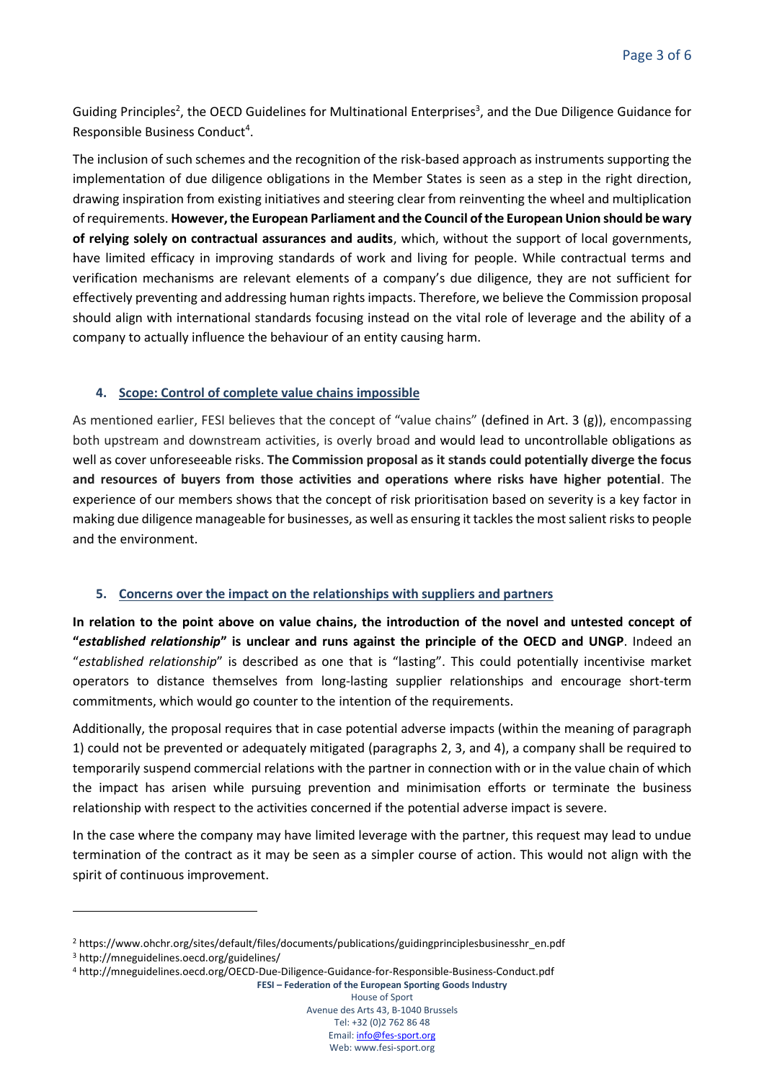Guiding Principles<sup>2</sup>, the OECD Guidelines for Multinational Enterprises<sup>3</sup>, and the Due Diligence Guidance for Responsible Business Conduct<sup>4</sup>.

The inclusion of such schemes and the recognition of the risk-based approach as instruments supporting the implementation of due diligence obligations in the Member States is seen as a step in the right direction, drawing inspiration from existing initiatives and steering clear from reinventing the wheel and multiplication of requirements. **However, the European Parliament and the Council of the European Union should be wary of relying solely on contractual assurances and audits**, which, without the support of local governments, have limited efficacy in improving standards of work and living for people. While contractual terms and verification mechanisms are relevant elements of a company's due diligence, they are not sufficient for effectively preventing and addressing human rights impacts. Therefore, we believe the Commission proposal should align with international standards focusing instead on the vital role of leverage and the ability of a company to actually influence the behaviour of an entity causing harm.

## **4. Scope: Control of complete value chains impossible**

As mentioned earlier, FESI believes that the concept of "value chains" (defined in Art. 3 (g)), encompassing both upstream and downstream activities, is overly broad and would lead to uncontrollable obligations as well as cover unforeseeable risks. **The Commission proposal as it stands could potentially diverge the focus and resources of buyers from those activities and operations where risks have higher potential**. The experience of our members shows that the concept of risk prioritisation based on severity is a key factor in making due diligence manageable for businesses, as well as ensuring it tackles the most salient risks to people and the environment.

#### **5. Concerns over the impact on the relationships with suppliers and partners**

**In relation to the point above on value chains, the introduction of the novel and untested concept of "***established relationship***" is unclear and runs against the principle of the OECD and UNGP**. Indeed an "*established relationship*" is described as one that is "lasting". This could potentially incentivise market operators to distance themselves from long-lasting supplier relationships and encourage short-term commitments, which would go counter to the intention of the requirements.

Additionally, the proposal requires that in case potential adverse impacts (within the meaning of paragraph 1) could not be prevented or adequately mitigated (paragraphs 2, 3, and 4), a company shall be required to temporarily suspend commercial relations with the partner in connection with or in the value chain of which the impact has arisen while pursuing prevention and minimisation efforts or terminate the business relationship with respect to the activities concerned if the potential adverse impact is severe.

In the case where the company may have limited leverage with the partner, this request may lead to undue termination of the contract as it may be seen as a simpler course of action. This would not align with the spirit of continuous improvement.

**FESI – Federation of the European Sporting Goods Industry** House of Sport

Avenue des Arts 43, B-1040 Brussels Tel: +32 (0)2 762 86 48 Email[: info@fes-sport.org](mailto:info@fes-sport.org) Web: www.fesi-sport.org

<sup>2</sup> https://www.ohchr.org/sites/default/files/documents/publications/guidingprinciplesbusinesshr\_en.pdf

<sup>3</sup> http://mneguidelines.oecd.org/guidelines/

<sup>4</sup> http://mneguidelines.oecd.org/OECD-Due-Diligence-Guidance-for-Responsible-Business-Conduct.pdf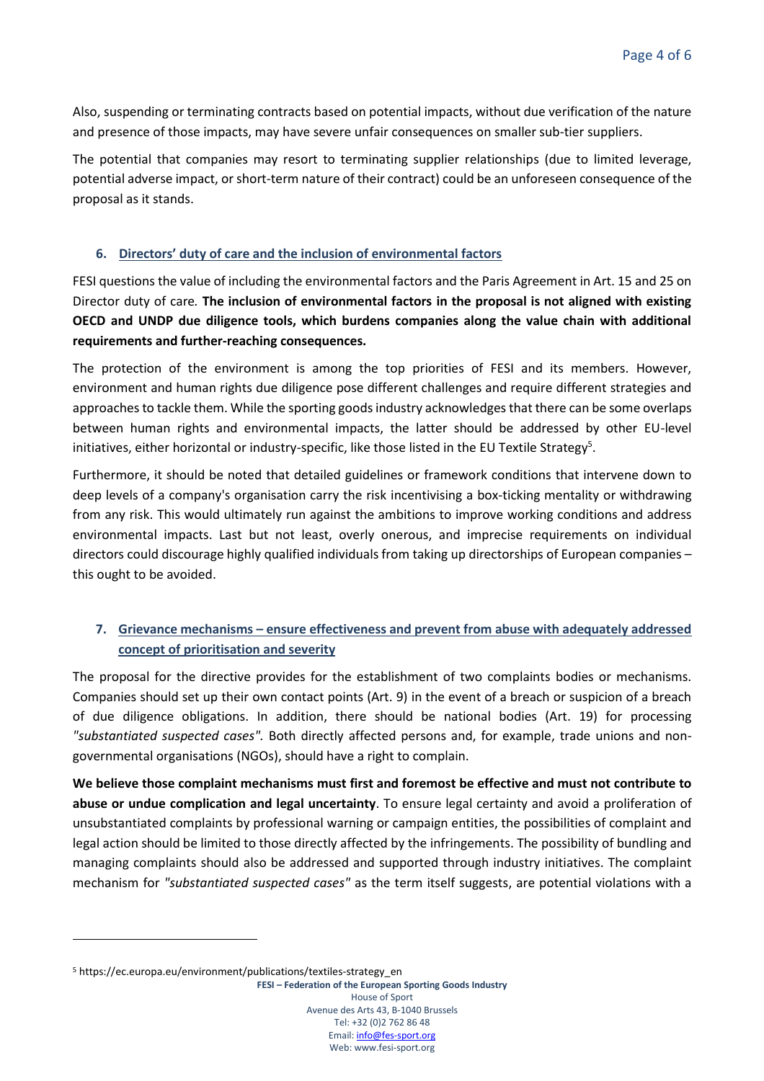Also, suspending or terminating contracts based on potential impacts, without due verification of the nature and presence of those impacts, may have severe unfair consequences on smaller sub-tier suppliers.

The potential that companies may resort to terminating supplier relationships (due to limited leverage, potential adverse impact, or short-term nature of their contract) could be an unforeseen consequence of the proposal as it stands.

### **6. Directors' duty of care and the inclusion of environmental factors**

FESI questions the value of including the environmental factors and the Paris Agreement in Art. 15 and 25 on Director duty of care*.* **The inclusion of environmental factors in the proposal is not aligned with existing OECD and UNDP due diligence tools, which burdens companies along the value chain with additional requirements and further-reaching consequences.**

The protection of the environment is among the top priorities of FESI and its members. However, environment and human rights due diligence pose different challenges and require different strategies and approaches to tackle them. While the sporting goods industry acknowledges that there can be some overlaps between human rights and environmental impacts, the latter should be addressed by other EU-level initiatives, either horizontal or industry-specific, like those listed in the EU Textile Strategy<sup>5</sup>.

Furthermore, it should be noted that detailed guidelines or framework conditions that intervene down to deep levels of a company's organisation carry the risk incentivising a box-ticking mentality or withdrawing from any risk. This would ultimately run against the ambitions to improve working conditions and address environmental impacts. Last but not least, overly onerous, and imprecise requirements on individual directors could discourage highly qualified individuals from taking up directorships of European companies – this ought to be avoided.

# **7. Grievance mechanisms – ensure effectiveness and prevent from abuse with adequately addressed concept of prioritisation and severity**

The proposal for the directive provides for the establishment of two complaints bodies or mechanisms. Companies should set up their own contact points (Art. 9) in the event of a breach or suspicion of a breach of due diligence obligations. In addition, there should be national bodies (Art. 19) for processing *"substantiated suspected cases".* Both directly affected persons and, for example, trade unions and nongovernmental organisations (NGOs), should have a right to complain.

**We believe those complaint mechanisms must first and foremost be effective and must not contribute to abuse or undue complication and legal uncertainty**. To ensure legal certainty and avoid a proliferation of unsubstantiated complaints by professional warning or campaign entities, the possibilities of complaint and legal action should be limited to those directly affected by the infringements. The possibility of bundling and managing complaints should also be addressed and supported through industry initiatives. The complaint mechanism for *"substantiated suspected cases"* as the term itself suggests, are potential violations with a

**FESI – Federation of the European Sporting Goods Industry** House of Sport Avenue des Arts 43, B-1040 Brussels Tel: +32 (0)2 762 86 48 Email[: info@fes-sport.org](mailto:info@fes-sport.org) Web: www.fesi-sport.org

<sup>&</sup>lt;sup>5</sup> https://ec.europa.eu/environment/publications/textiles-strategy\_en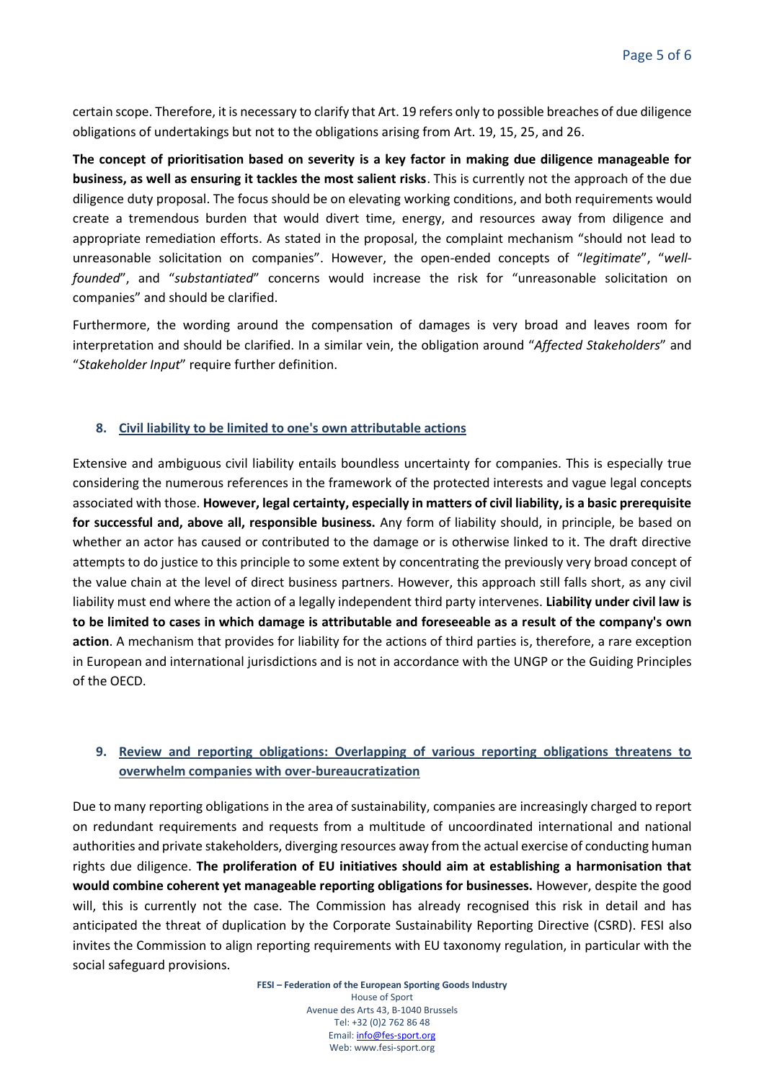certain scope. Therefore, it is necessary to clarify that Art. 19 refers only to possible breaches of due diligence obligations of undertakings but not to the obligations arising from Art. 19, 15, 25, and 26.

**The concept of prioritisation based on severity is a key factor in making due diligence manageable for business, as well as ensuring it tackles the most salient risks**. This is currently not the approach of the due diligence duty proposal. The focus should be on elevating working conditions, and both requirements would create a tremendous burden that would divert time, energy, and resources away from diligence and appropriate remediation efforts. As stated in the proposal, the complaint mechanism "should not lead to unreasonable solicitation on companies". However, the open-ended concepts of "*legitimate*", "*wellfounded*", and "*substantiated*" concerns would increase the risk for "unreasonable solicitation on companies" and should be clarified.

Furthermore, the wording around the compensation of damages is very broad and leaves room for interpretation and should be clarified. In a similar vein, the obligation around "*Affected Stakeholders*" and "*Stakeholder Input*" require further definition.

#### **8. Civil liability to be limited to one's own attributable actions**

Extensive and ambiguous civil liability entails boundless uncertainty for companies. This is especially true considering the numerous references in the framework of the protected interests and vague legal concepts associated with those. **However, legal certainty, especially in matters of civil liability, is a basic prerequisite for successful and, above all, responsible business.** Any form of liability should, in principle, be based on whether an actor has caused or contributed to the damage or is otherwise linked to it. The draft directive attempts to do justice to this principle to some extent by concentrating the previously very broad concept of the value chain at the level of direct business partners. However, this approach still falls short, as any civil liability must end where the action of a legally independent third party intervenes. **Liability under civil law is to be limited to cases in which damage is attributable and foreseeable as a result of the company's own action**. A mechanism that provides for liability for the actions of third parties is, therefore, a rare exception in European and international jurisdictions and is not in accordance with the UNGP or the Guiding Principles of the OECD.

## **9. Review and reporting obligations: Overlapping of various reporting obligations threatens to overwhelm companies with over-bureaucratization**

Due to many reporting obligations in the area of sustainability, companies are increasingly charged to report on redundant requirements and requests from a multitude of uncoordinated international and national authorities and private stakeholders, diverging resources away from the actual exercise of conducting human rights due diligence. **The proliferation of EU initiatives should aim at establishing a harmonisation that would combine coherent yet manageable reporting obligations for businesses.** However, despite the good will, this is currently not the case. The Commission has already recognised this risk in detail and has anticipated the threat of duplication by the Corporate Sustainability Reporting Directive (CSRD). FESI also invites the Commission to align reporting requirements with EU taxonomy regulation, in particular with the social safeguard provisions.

> **FESI – Federation of the European Sporting Goods Industry** House of Sport Avenue des Arts 43, B-1040 Brussels Tel: +32 (0)2 762 86 48 Email[: info@fes-sport.org](mailto:info@fes-sport.org) Web: www.fesi-sport.org